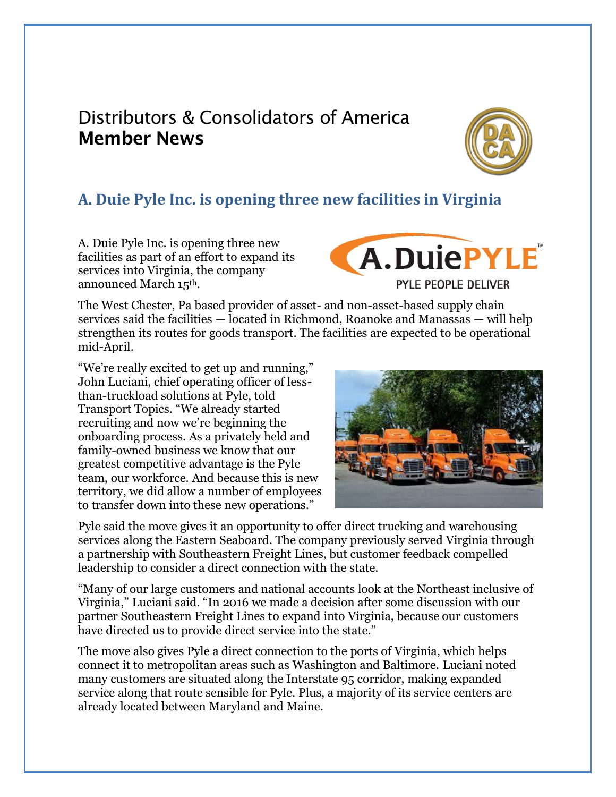## Distributors & Consolidators of America Member News



## **A. Duie Pyle Inc. is opening three new facilities in Virginia**

A. Duie Pyle Inc. is opening three new facilities as part of an effort to expand its services into Virginia, the company announced March 15th.

**A.DuiePYLE** PYLE PEOPLE DELIVER

The West Chester, Pa based provider of asset- and non-asset-based supply chain services said the facilities — located in Richmond, Roanoke and Manassas — will help strengthen its routes for goods transport. The facilities are expected to be operational mid-April.

"We're really excited to get up and running," John Luciani, chief operating officer of lessthan-truckload solutions at Pyle, told Transport Topics. "We already started recruiting and now we're beginning the onboarding process. As a privately held and family-owned business we know that our greatest competitive advantage is the Pyle team, our workforce. And because this is new territory, we did allow a number of employees to transfer down into these new operations."



Pyle said the move gives it an opportunity to offer direct trucking and warehousing services along the Eastern Seaboard. The company previously served Virginia through a partnership with Southeastern Freight Lines, but customer feedback compelled leadership to consider a direct connection with the state.

"Many of our large customers and national accounts look at the Northeast inclusive of Virginia," Luciani said. "In 2016 we made a decision after some discussion with our partner Southeastern Freight Lines to expand into Virginia, because our customers have directed us to provide direct service into the state."

The move also gives Pyle a direct connection to the ports of Virginia, which helps connect it to metropolitan areas such as Washington and Baltimore. Luciani noted many customers are situated along the Interstate 95 corridor, making expanded service along that route sensible for Pyle. Plus, a majority of its service centers are already located between Maryland and Maine.